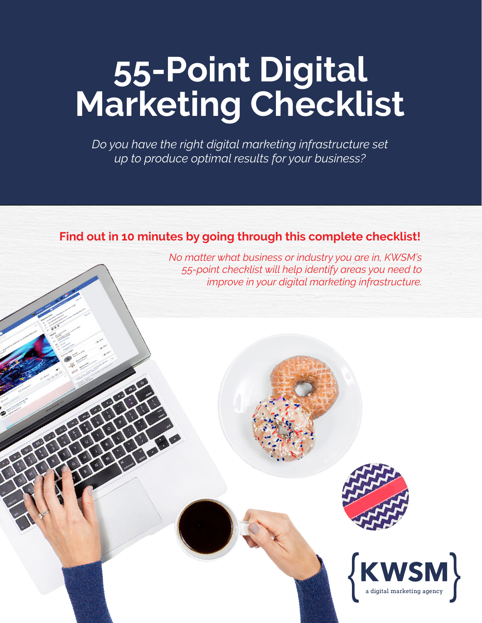# **55-Point Digital Marketing Checklist**

*Do you have the right digital marketing infrastructure set up to produce optimal results for your business?*

#### **Find out in 10 minutes by going through this complete checklist!**

*No matter what business or industry you are in, KWSM's 55-point checklist will help identify areas you need to improve in your digital marketing infrastructure.*



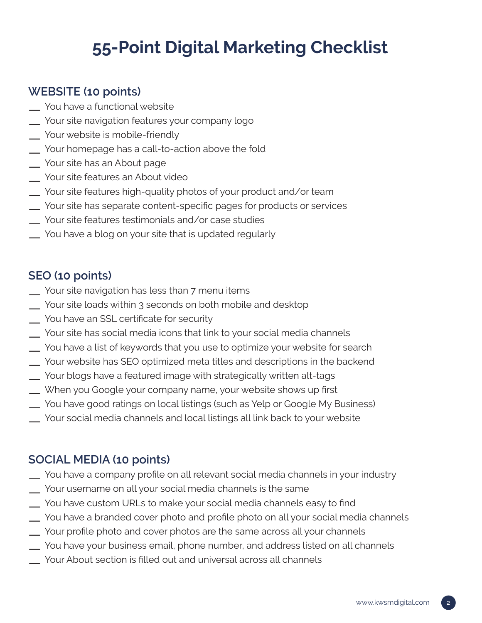# **55-Point Digital Marketing Checklist**

# **WEBSITE (10 points)**

- You have a functional website
- Your site navigation features your company logo
- Your website is mobile-friendly
- Your homepage has a call-to-action above the fold
- Your site has an About page
- Your site features an About video
- Your site features high-quality photos of your product and/or team
- Your site has separate content-specific pages for products or services
- Your site features testimonials and/or case studies
- You have a blog on your site that is updated regularly

# **SEO (10 points)**

- Your site navigation has less than 7 menu items
- Your site loads within 3 seconds on both mobile and desktop
- You have an SSL certificate for security
- Your site has social media icons that link to your social media channels
- You have a list of keywords that you use to optimize your website for search
- Your website has SEO optimized meta titles and descriptions in the backend
- Your blogs have a featured image with strategically written alt-tags
- When you Google your company name, your website shows up first
- You have good ratings on local listings (such as Yelp or Google My Business)
- Your social media channels and local listings all link back to your website

# **SOCIAL MEDIA (10 points)**

- You have a company profile on all relevant social media channels in your industry
- Your username on all your social media channels is the same
- You have custom URLs to make your social media channels easy to find
- You have a branded cover photo and profile photo on all your social media channels
- Your profile photo and cover photos are the same across all your channels
- You have your business email, phone number, and address listed on all channels
- Your About section is filled out and universal across all channels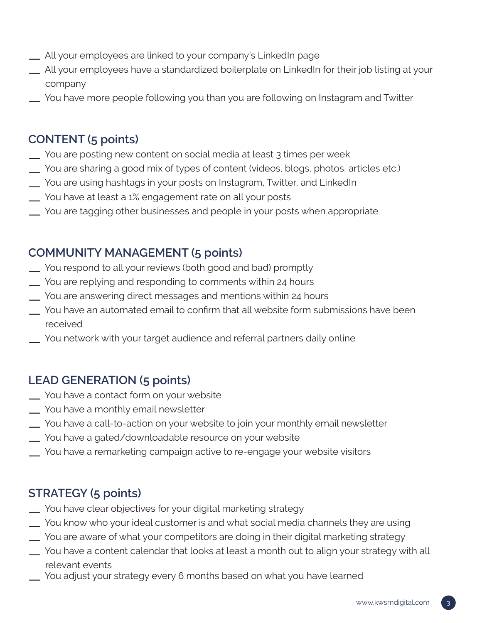- All your employees are linked to your company's LinkedIn page
- All your employees have a standardized boilerplate on LinkedIn for their job listing at your company
- You have more people following you than you are following on Instagram and Twitter

# **CONTENT (5 points)**

- You are posting new content on social media at least 3 times per week
- You are sharing a good mix of types of content (videos, blogs, photos, articles etc.)
- You are using hashtags in your posts on Instagram, Twitter, and LinkedIn
- You have at least a 1% engagement rate on all your posts
- You are tagging other businesses and people in your posts when appropriate

#### **COMMUNITY MANAGEMENT (5 points)**

- You respond to all your reviews (both good and bad) promptly
- You are replying and responding to comments within 24 hours
- You are answering direct messages and mentions within 24 hours
- You have an automated email to confirm that all website form submissions have been received
- You network with your target audience and referral partners daily online

# **LEAD GENERATION (5 points)**

- You have a contact form on your website
- You have a monthly email newsletter
- You have a call-to-action on your website to join your monthly email newsletter
- You have a gated/downloadable resource on your website
- You have a remarketing campaign active to re-engage your website visitors

#### **STRATEGY (5 points)**

- You have clear objectives for your digital marketing strategy
- You know who your ideal customer is and what social media channels they are using
- You are aware of what your competitors are doing in their digital marketing strategy
- You have a content calendar that looks at least a month out to align your strategy with all relevant events
- You adjust your strategy every 6 months based on what you have learned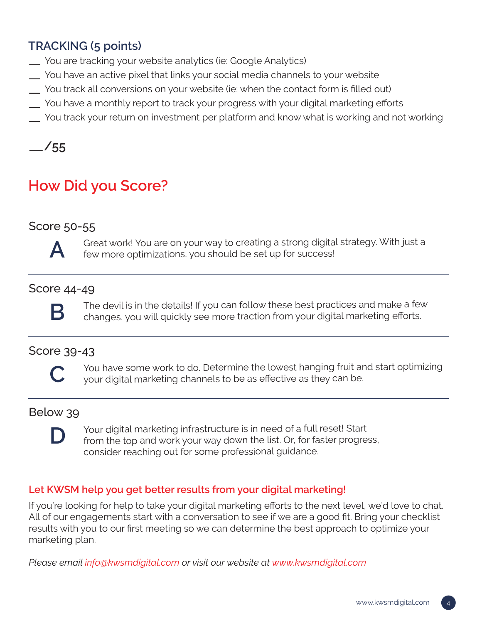# **TRACKING (5 points)**

- You are tracking your website analytics (ie: Google Analytics)
- You have an active pixel that links your social media channels to your website
- You track all conversions on your website (ie: when the contact form is filled out)
- You have a monthly report to track your progress with your digital marketing efforts
- You track your return on investment per platform and know what is working and not working

—**/55**

# **How Did you Score?**

#### Score 50-55



Great work! You are on your way to creating a strong digital strategy. With just a few more optimizations, you should be set up for success!

#### Score 44-49



The devil is in the details! If you can follow these best practices and make a few<br>**B** changes, you will quickly see more traction from your digital marketing efforts.

#### Score 39-43



You have some work to do. Determine the lowest hanging fruit and start optimizing<br>your digital marketing channels to be as effective as they can be.

#### Below 39

**D**



#### **Let KWSM help you get better results from your digital marketing!**

If you're looking for help to take your digital marketing efforts to the next level, we'd love to chat. All of our engagements start with a conversation to see if we are a good fit. Bring your checklist results with you to our first meeting so we can determine the best approach to optimize your marketing plan.

*Please email info@kwsmdigital.com or visit our website at www.kwsmdigital.com*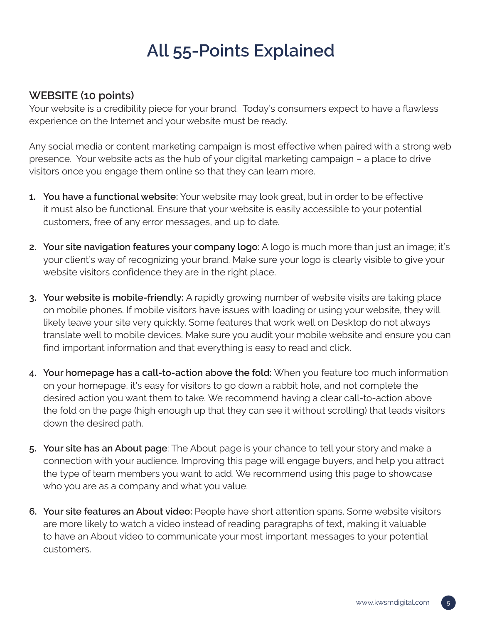# **All 55-Points Explained**

#### **WEBSITE (10 points)**

Your website is a credibility piece for your brand. Today's consumers expect to have a flawless experience on the Internet and your website must be ready.

Any social media or content marketing campaign is most effective when paired with a strong web presence. Your website acts as the hub of your digital marketing campaign – a place to drive visitors once you engage them online so that they can learn more.

- **1. You have a functional website:** Your website may look great, but in order to be effective it must also be functional. Ensure that your website is easily accessible to your potential customers, free of any error messages, and up to date.
- **2. Your site navigation features your company logo:** A logo is much more than just an image; it's your client's way of recognizing your brand. Make sure your logo is clearly visible to give your website visitors confidence they are in the right place.
- **3. Your website is mobile-friendly:** A rapidly growing number of website visits are taking place on mobile phones. If mobile visitors have issues with loading or using your website, they will likely leave your site very quickly. Some features that work well on Desktop do not always translate well to mobile devices. Make sure you audit your mobile website and ensure you can find important information and that everything is easy to read and click.
- **4. Your homepage has a call-to-action above the fold:** When you feature too much information on your homepage, it's easy for visitors to go down a rabbit hole, and not complete the desired action you want them to take. We recommend having a clear call-to-action above the fold on the page (high enough up that they can see it without scrolling) that leads visitors down the desired path.
- **5. Your site has an About page**: The About page is your chance to tell your story and make a connection with your audience. Improving this page will engage buyers, and help you attract the type of team members you want to add. We recommend using this page to showcase who you are as a company and what you value.
- **6. Your site features an About video:** People have short attention spans. Some website visitors are more likely to watch a video instead of reading paragraphs of text, making it valuable to have an About video to communicate your most important messages to your potential customers.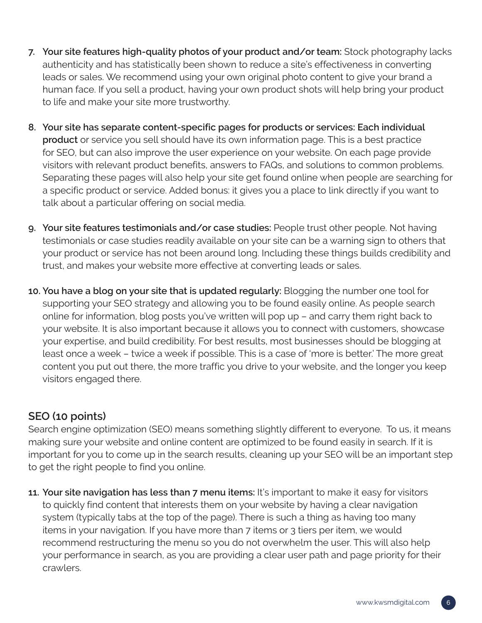- **7. Your site features high-quality photos of your product and/or team:** Stock photography lacks authenticity and has statistically been shown to reduce a site's effectiveness in converting leads or sales. We recommend using your own original photo content to give your brand a human face. If you sell a product, having your own product shots will help bring your product to life and make your site more trustworthy.
- **8. Your site has separate content-specific pages for products or services: Each individual product** or service you sell should have its own information page. This is a best practice for SEO, but can also improve the user experience on your website. On each page provide visitors with relevant product benefits, answers to FAQs, and solutions to common problems. Separating these pages will also help your site get found online when people are searching for a specific product or service. Added bonus: it gives you a place to link directly if you want to talk about a particular offering on social media.
- **9. Your site features testimonials and/or case studies:** People trust other people. Not having testimonials or case studies readily available on your site can be a warning sign to others that your product or service has not been around long. Including these things builds credibility and trust, and makes your website more effective at converting leads or sales.
- **10. You have a blog on your site that is updated regularly:** Blogging the number one tool for supporting your SEO strategy and allowing you to be found easily online. As people search online for information, blog posts you've written will pop up – and carry them right back to your website. It is also important because it allows you to connect with customers, showcase your expertise, and build credibility. For best results, most businesses should be blogging at least once a week – twice a week if possible. This is a case of 'more is better.' The more great content you put out there, the more traffic you drive to your website, and the longer you keep visitors engaged there.

#### **SEO (10 points)**

Search engine optimization (SEO) means something slightly different to everyone. To us, it means making sure your website and online content are optimized to be found easily in search. If it is important for you to come up in the search results, cleaning up your SEO will be an important step to get the right people to find you online.

**11. Your site navigation has less than 7 menu items:** It's important to make it easy for visitors to quickly find content that interests them on your website by having a clear navigation system (typically tabs at the top of the page). There is such a thing as having too many items in your navigation. If you have more than 7 items or 3 tiers per item, we would recommend restructuring the menu so you do not overwhelm the user. This will also help your performance in search, as you are providing a clear user path and page priority for their crawlers.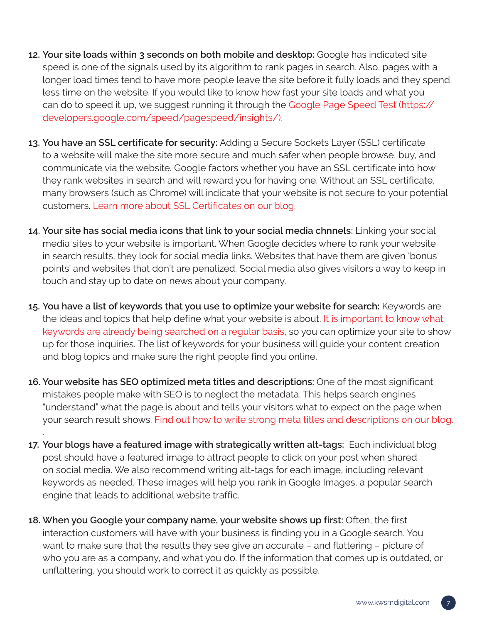- **12. Your site loads within 3 seconds on both mobile and desktop:** Google has indicated site speed is one of the signals used by its algorithm to rank pages in search. Also, pages with a longer load times tend to have more people leave the site before it fully loads and they spend less time on the website. If you would like to know how fast your site loads and what you can do to speed it up, we suggest running it through the Google Page Speed Test (https:// developers.google.com/speed/pagespeed/insights/).
- **13. You have an SSL certificate for security:** Adding a Secure Sockets Layer (SSL) certificate to a website will make the site more secure and much safer when people browse, buy, and communicate via the website. Google factors whether you have an SSL certificate into how they rank websites in search and will reward you for having one. Without an SSL certificate, many browsers (such as Chrome) will indicate that your website is not secure to your potential customers. [Learn more about SSL Certificates on our blog.](https://kwsmdesign.com/ssl-certificate-what-is-it-why-do-i-need-it/)
- **14. Your site has social media icons that link to your social media chnnels:** Linking your social media sites to your website is important. When Google decides where to rank your website in search results, they look for social media links. Websites that have them are given 'bonus points' and websites that don't are penalized. Social media also gives visitors a way to keep in touch and stay up to date on news about your company.
- **15. You have a list of keywords that you use to optimize your website for search:** Keywords are the ideas and topics that help define what your website is about. [It is important to know what](https://kwsmdigital.com/are-keywords-really-important-for-website-content/)  [keywords are already being searched on a regular basis,](https://kwsmdigital.com/are-keywords-really-important-for-website-content/) so you can optimize your site to show up for those inquiries. The list of keywords for your business will guide your content creation and blog topics and make sure the right people find you online.
- **16. Your website has SEO optimized meta titles and descriptions:** One of the most significant mistakes people make with SEO is to neglect the metadata. This helps search engines "understand" what the page is about and tells your visitors what to expect on the page when your search result shows. [Find out how to write strong meta titles and descriptions on our blog.](https://kwsmdigital.com/how-do-you-write-meta-titles-meta-descriptions-for-your-website/)
- **17. Your blogs have a featured image with strategically written alt-tags:** Each individual blog post should have a featured image to attract people to click on your post when shared on social media. We also recommend writing alt-tags for each image, including relevant keywords as needed. These images will help you rank in Google Images, a popular search engine that leads to additional website traffic.

.

**18. When you Google your company name, your website shows up first:** Often, the first interaction customers will have with your business is finding you in a Google search. You want to make sure that the results they see give an accurate – and flattering – picture of who you are as a company, and what you do. If the information that comes up is outdated, or unflattering, you should work to correct it as quickly as possible.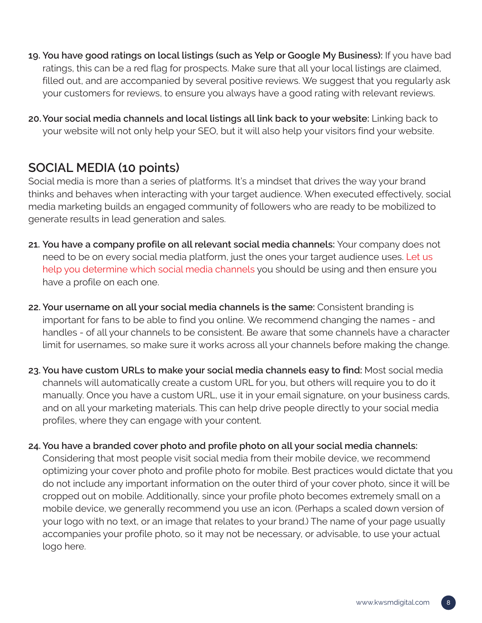**19. You have good ratings on local listings (such as Yelp or Google My Business):** If you have bad ratings, this can be a red flag for prospects. Make sure that all your local listings are claimed, filled out, and are accompanied by several positive reviews. We suggest that you regularly ask your customers for reviews, to ensure you always have a good rating with relevant reviews.

**20.Your social media channels and local listings all link back to your website:** Linking back to your website will not only help your SEO, but it will also help your visitors find your website.

# **SOCIAL MEDIA (10 points)**

Social media is more than a series of platforms. It's a mindset that drives the way your brand thinks and behaves when interacting with your target audience. When executed effectively, social media marketing builds an engaged community of followers who are ready to be mobilized to generate results in lead generation and sales.

- **21. You have a company profile on all relevant social media channels:** Your company does not need to be on every social media platform, just the ones your target audience uses. [Let us](https://kwsmdigital.com/how-to-choose-which-social-channels-to-use-for-your-business/)  [help you determine which social media channels](https://kwsmdigital.com/how-to-choose-which-social-channels-to-use-for-your-business/) you should be using and then ensure you have a profile on each one.
- **22. Your username on all your social media channels is the same:** Consistent branding is important for fans to be able to find you online. We recommend changing the names - and handles - of all your channels to be consistent. Be aware that some channels have a character limit for usernames, so make sure it works across all your channels before making the change.
- **23. You have custom URLs to make your social media channels easy to find:** Most social media channels will automatically create a custom URL for you, but others will require you to do it manually. Once you have a custom URL, use it in your email signature, on your business cards, and on all your marketing materials. This can help drive people directly to your social media profiles, where they can engage with your content.
- **24. You have a branded cover photo and profile photo on all your social media channels:**  Considering that most people visit social media from their mobile device, we recommend optimizing your cover photo and profile photo for mobile. Best practices would dictate that you do not include any important information on the outer third of your cover photo, since it will be cropped out on mobile. Additionally, since your profile photo becomes extremely small on a mobile device, we generally recommend you use an icon. (Perhaps a scaled down version of your logo with no text, or an image that relates to your brand.) The name of your page usually accompanies your profile photo, so it may not be necessary, or advisable, to use your actual logo here.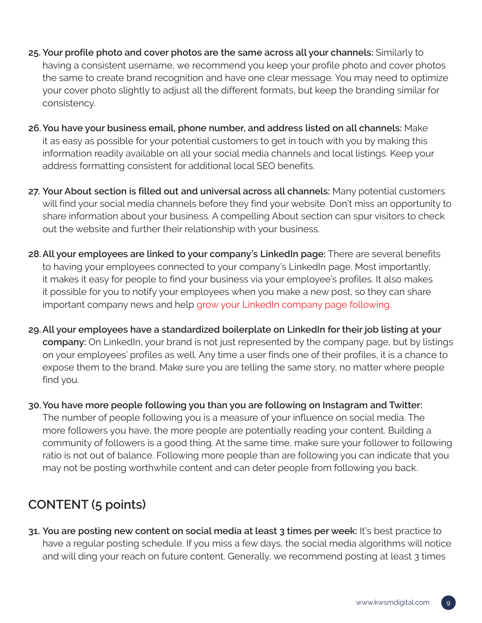- **25. Your profile photo and cover photos are the same across all your channels:** Similarly to having a consistent username, we recommend you keep your profile photo and cover photos the same to create brand recognition and have one clear message. You may need to optimize your cover photo slightly to adjust all the different formats, but keep the branding similar for consistency.
- **26.You have your business email, phone number, and address listed on all channels:** Make it as easy as possible for your potential customers to get in touch with you by making this information readily available on all your social media channels and local listings. Keep your address formatting consistent for additional local SEO benefits.
- **27. Your About section is filled out and universal across all channels:** Many potential customers will find your social media channels before they find your website. Don't miss an opportunity to share information about your business. A compelling About section can spur visitors to check out the website and further their relationship with your business.
- **28.All your employees are linked to your company's LinkedIn page:** There are several benefits to having your employees connected to your company's LinkedIn page. Most importantly, it makes it easy for people to find your business via your employee's profiles. It also makes it possible for you to notify your employees when you make a new post, so they can share important company news and help [grow your LinkedIn company page following.](https://kwsmdigital.com/growing-your-linkedin-company-page/)
- **29.All your employees have a standardized boilerplate on LinkedIn for their job listing at your company:** On LinkedIn, your brand is not just represented by the company page, but by listings on your employees' profiles as well. Any time a user finds one of their profiles, it is a chance to expose them to the brand. Make sure you are telling the same story, no matter where people find you.
- **30.You have more people following you than you are following on Instagram and Twitter:**  The number of people following you is a measure of your influence on social media. The more followers you have, the more people are potentially reading your content. Building a community of followers is a good thing. At the same time, make sure your follower to following ratio is not out of balance. Following more people than are following you can indicate that you may not be posting worthwhile content and can deter people from following you back.

# **CONTENT (5 points)**

**31. You are posting new content on social media at least 3 times per week:** It's best practice to have a regular posting schedule. If you miss a few days, the social media algorithms will notice and will ding your reach on future content. Generally, we recommend posting at least 3 times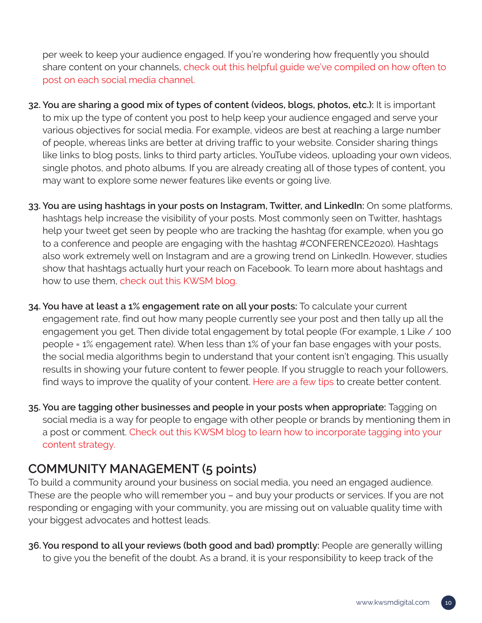per week to keep your audience engaged. If you're wondering how frequently you should share content on your channels, [check out this helpful guide we've compiled on how often to](https://kwsmdigital.com/how-often-should-brands-post-on-social-media/)  [post on each social media channel.](https://kwsmdigital.com/how-often-should-brands-post-on-social-media/)

- **32. You are sharing a good mix of types of content (videos, blogs, photos, etc.):** It is important to mix up the type of content you post to help keep your audience engaged and serve your various objectives for social media. For example, videos are best at reaching a large number of people, whereas links are better at driving traffic to your website. Consider sharing things like links to blog posts, links to third party articles, YouTube videos, uploading your own videos, single photos, and photo albums. If you are already creating all of those types of content, you may want to explore some newer features like events or going live.
- **33. You are using hashtags in your posts on Instagram, Twitter, and LinkedIn:** On some platforms, hashtags help increase the visibility of your posts. Most commonly seen on Twitter, hashtags help your tweet get seen by people who are tracking the hashtag (for example, when you go to a conference and people are engaging with the hashtag #CONFERENCE2020). Hashtags also work extremely well on Instagram and are a growing trend on LinkedIn. However, studies show that hashtags actually hurt your reach on Facebook. To learn more about hashtags and how to use them, [check out this KWSM blog.](https://kwsmdigital.com/where-do-hashtags-belong-on-social-media/)
- **34. You have at least a 1% engagement rate on all your posts:** To calculate your current engagement rate, find out how many people currently see your post and then tally up all the engagement you get. Then divide total engagement by total people (For example, 1 Like / 100 people = 1% engagement rate). When less than 1% of your fan base engages with your posts, the social media algorithms begin to understand that your content isn't engaging. This usually results in showing your future content to fewer people. If you struggle to reach your followers, find ways to improve the quality of your content. [Here are a few tips](https://kwsmdigital.com/concerned-about-your-facebook-reach-choose-story-over-spam/) to create better content.
- **35. You are tagging other businesses and people in your posts when appropriate:** Tagging on social media is a way for people to engage with other people or brands by mentioning them in a post or comment. [Check out this KWSM blog to learn how to incorporate tagging into your](https://kwsmdigital.com/tag-youre-it-what-youre-missing-if-you-arent-tagging-on-social-media/)  [content strategy.](https://kwsmdigital.com/tag-youre-it-what-youre-missing-if-you-arent-tagging-on-social-media/)

# **COMMUNITY MANAGEMENT (5 points)**

To build a community around your business on social media, you need an engaged audience. These are the people who will remember you – and buy your products or services. If you are not responding or engaging with your community, you are missing out on valuable quality time with your biggest advocates and hottest leads.

**36.You respond to all your reviews (both good and bad) promptly:** People are generally willing to give you the benefit of the doubt. As a brand, it is your responsibility to keep track of the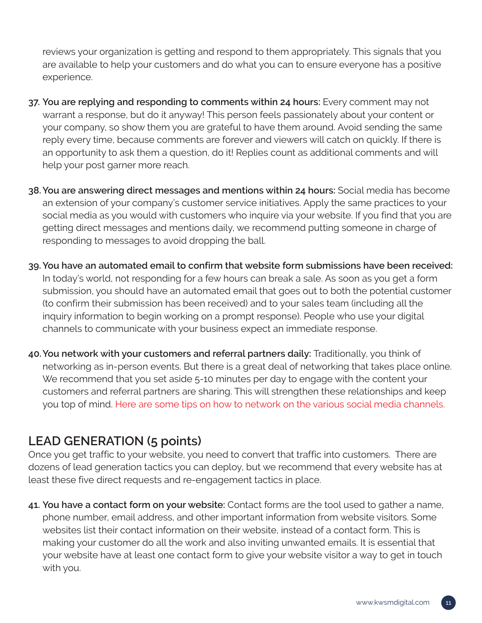reviews your organization is getting and respond to them appropriately. This signals that you are available to help your customers and do what you can to ensure everyone has a positive experience.

- **37. You are replying and responding to comments within 24 hours:** Every comment may not warrant a response, but do it anyway! This person feels passionately about your content or your company, so show them you are grateful to have them around. Avoid sending the same reply every time, because comments are forever and viewers will catch on quickly. If there is an opportunity to ask them a question, do it! Replies count as additional comments and will help your post garner more reach.
- **38.You are answering direct messages and mentions within 24 hours:** Social media has become an extension of your company's customer service initiatives. Apply the same practices to your social media as you would with customers who inquire via your website. If you find that you are getting direct messages and mentions daily, we recommend putting someone in charge of responding to messages to avoid dropping the ball.
- **39.You have an automated email to confirm that website form submissions have been received:**  In today's world, not responding for a few hours can break a sale. As soon as you get a form submission, you should have an automated email that goes out to both the potential customer (to confirm their submission has been received) and to your sales team (including all the inquiry information to begin working on a prompt response). People who use your digital channels to communicate with your business expect an immediate response.
- **40.You network with your customers and referral partners daily:** Traditionally, you think of networking as in-person events. But there is a great deal of networking that takes place online. We recommend that you set aside 5-10 minutes per day to engage with the content your customers and referral partners are sharing. This will strengthen these relationships and keep you top of mind. [Here are some tips on how to network on the various social media channels.](https://kwsmdigital.com/how-to-network-on-social-media/)

# **LEAD GENERATION (5 points)**

Once you get traffic to your website, you need to convert that traffic into customers. There are dozens of lead generation tactics you can deploy, but we recommend that every website has at least these five direct requests and re-engagement tactics in place.

**41. You have a contact form on your website:** Contact forms are the tool used to gather a name, phone number, email address, and other important information from website visitors. Some websites list their contact information on their website, instead of a contact form. This is making your customer do all the work and also inviting unwanted emails. It is essential that your website have at least one contact form to give your website visitor a way to get in touch with you.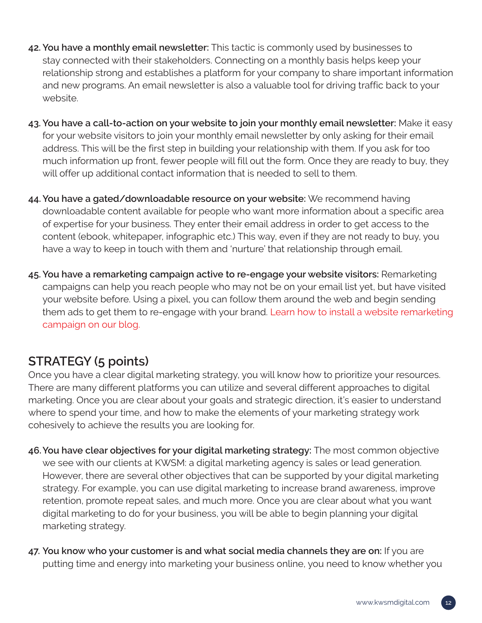- **42. You have a monthly email newsletter:** This tactic is commonly used by businesses to stay connected with their stakeholders. Connecting on a monthly basis helps keep your relationship strong and establishes a platform for your company to share important information and new programs. An email newsletter is also a valuable tool for driving traffic back to your website.
- **43. You have a call-to-action on your website to join your monthly email newsletter:** Make it easy for your website visitors to join your monthly email newsletter by only asking for their email address. This will be the first step in building your relationship with them. If you ask for too much information up front, fewer people will fill out the form. Once they are ready to buy, they will offer up additional contact information that is needed to sell to them.
- **44.You have a gated/downloadable resource on your website:** We recommend having downloadable content available for people who want more information about a specific area of expertise for your business. They enter their email address in order to get access to the content (ebook, whitepaper, infographic etc.) This way, even if they are not ready to buy, you have a way to keep in touch with them and 'nurture' that relationship through email.
- **45. You have a remarketing campaign active to re-engage your website visitors:** Remarketing campaigns can help you reach people who may not be on your email list yet, but have visited your website before. Using a pixel, you can follow them around the web and begin sending them ads to get them to re-engage with your brand. [Learn how to install a website remarketing](https://kwsmdigital.com/how-to-use-website-custom-audiences-to-grow-your-business/)  [campaign on our blog.](https://kwsmdigital.com/how-to-use-website-custom-audiences-to-grow-your-business/)

# **STRATEGY (5 points)**

Once you have a clear digital marketing strategy, you will know how to prioritize your resources. There are many different platforms you can utilize and several different approaches to digital marketing. Once you are clear about your goals and strategic direction, it's easier to understand where to spend your time, and how to make the elements of your marketing strategy work cohesively to achieve the results you are looking for.

- **46.You have clear objectives for your digital marketing strategy:** The most common objective we see with our clients at KWSM: a digital marketing agency is sales or lead generation. However, there are several other objectives that can be supported by your digital marketing strategy. For example, you can use digital marketing to increase brand awareness, improve retention, promote repeat sales, and much more. Once you are clear about what you want digital marketing to do for your business, you will be able to begin planning your digital marketing strategy.
- **47. You know who your customer is and what social media channels they are on:** If you are putting time and energy into marketing your business online, you need to know whether you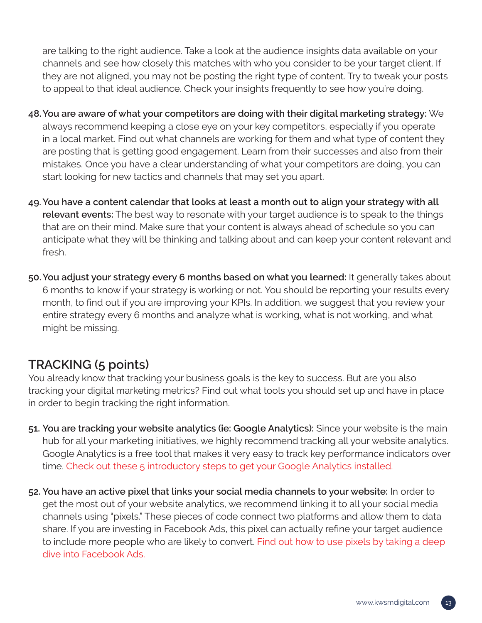are talking to the right audience. Take a look at the audience insights data available on your channels and see how closely this matches with who you consider to be your target client. If they are not aligned, you may not be posting the right type of content. Try to tweak your posts to appeal to that ideal audience. Check your insights frequently to see how you're doing.

- **48.You are aware of what your competitors are doing with their digital marketing strategy:** We always recommend keeping a close eye on your key competitors, especially if you operate in a local market. Find out what channels are working for them and what type of content they are posting that is getting good engagement. Learn from their successes and also from their mistakes. Once you have a clear understanding of what your competitors are doing, you can start looking for new tactics and channels that may set you apart.
- **49.You have a content calendar that looks at least a month out to align your strategy with all relevant events:** The best way to resonate with your target audience is to speak to the things that are on their mind. Make sure that your content is always ahead of schedule so you can anticipate what they will be thinking and talking about and can keep your content relevant and fresh.
- **50.You adjust your strategy every 6 months based on what you learned:** It generally takes about 6 months to know if your strategy is working or not. You should be reporting your results every month, to find out if you are improving your KPIs. In addition, we suggest that you review your entire strategy every 6 months and analyze what is working, what is not working, and what might be missing.

# **TRACKING (5 points)**

You already know that tracking your business goals is the key to success. But are you also tracking your digital marketing metrics? Find out what tools you should set up and have in place in order to begin tracking the right information.

- **51. You are tracking your website analytics (ie: Google Analytics):** Since your website is the main hub for all your marketing initiatives, we highly recommend tracking all your website analytics. Google Analytics is a free tool that makes it very easy to track key performance indicators over time. [Check out these 5 introductory steps to get your Google Analytics installed.](https://kwsmdigital.com/how-to-get-started-with-google-analytics/)
- **52. You have an active pixel that links your social media channels to your website:** In order to get the most out of your website analytics, we recommend linking it to all your social media channels using "pixels." These pieces of code connect two platforms and allow them to data share. If you are investing in Facebook Ads, this pixel can actually refine your target audience to include more people who are likely to convert. [Find out how to use pixels by taking a deep](https://kwsmdigital.com/kwsm-takes-a-deep-dive-into-facebook-ads/)  [dive into Facebook Ads.](https://kwsmdigital.com/kwsm-takes-a-deep-dive-into-facebook-ads/)